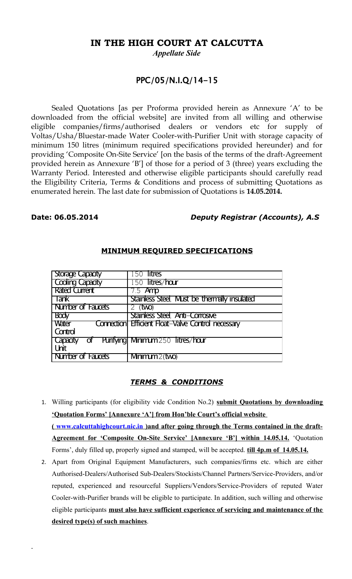# **IN THE HIGH COURT AT CALCUTTA**

*Appellate Side*

# PPC/05/N.I.Q/14-15

Sealed Quotations [as per Proforma provided herein as Annexure 'A' to be downloaded from the official website] are invited from all willing and otherwise eligible companies/firms/authorised dealers or vendors etc for supply of Voltas/Usha/Bluestar-made Water Cooler-with-Purifier Unit with storage capacity of minimum 150 litres (minimum required specifications provided hereunder) and for providing 'Composite On-Site Service' [on the basis of the terms of the draft-Agreement provided herein as Annexure 'B'] of those for a period of 3 (three) years excluding the Warranty Period. Interested and otherwise eligible participants should carefully read the Eligibility Criteria, Terms & Conditions and process of submitting Quotations as enumerated herein. The last date for submission of Quotations is **14.05.2014.**

#### **Date: 06.05.2014** *Deputy Registrar (Accounts), A.S*

| <b>Storage Capacity</b>  | $150$ litres                                       |
|--------------------------|----------------------------------------------------|
| <b>Cooling Capacity</b>  | 150 litres/hour                                    |
| Rated Current            | $7.5$ Amp                                          |
| Tank                     | Stainless Steel, Must be thermally insulated       |
| <b>Number of Faucets</b> | $2$ (two)                                          |
| <b>Body</b>              | Stainless Steel, Anti-Corrosive                    |
| Water                    | Connection Efficient Float-Valve Control necessary |
| Control                  |                                                    |
| Capacity                 | <b>of Purifying Minimum</b> 250 litres/hour        |
| Unit                     |                                                    |
| <b>Number of Faucets</b> | $Minimum2$ (two)                                   |

### **MINIMUM REQUIRED SPECIFICATIONS**

#### *TERMS & CONDITIONS*

- 1. Willing participants (for eligibility vide Condition No.2) **submit Quotations by downloading 'Quotation Forms' [Annexure 'A'] from Hon'ble Court's official website ( [www.calcuttahighcourt.nic.in](http://www.calcuttahighcourt.nic.in/) )and after going through the Terms contained in the draft-Agreement for 'Composite On-Site Service' [Annexure 'B'] within 14.05.14.** 'Quotation Forms', duly filled up, properly signed and stamped, will be accepted. **till 4p.m of 14.05.14.**
- 2. Apart from Original Equipment Manufacturers, such companies/firms etc. which are either Authorised-Dealers/Authorised Sub-Dealers/Stockists/Channel Partners/Service-Providers, and/or reputed, experienced and resourceful Suppliers/Vendors/Service-Providers of reputed Water Cooler-with-Purifier brands will be eligible to participate. In addition, such willing and otherwise eligible participants **must also have sufficient experience of servicing and maintenance of the desired type(s) of such machines**.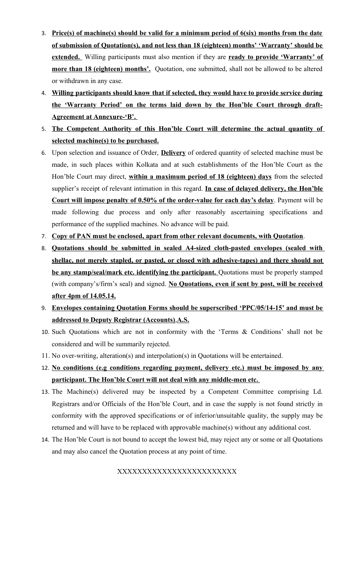- 3. **Price(s) of machine(s) should be valid for a minimum period of 6(six) months from the date of submission of Quotation(s), and not less than 18 (eighteen) months' 'Warranty' should be extended.** Willing participants must also mention if they are **ready to provide 'Warranty' of more than 18 (eighteen) months'.** Quotation, one submitted, shall not be allowed to be altered or withdrawn in any case.
- 4. **Willing participants should know that if selected, they would have to provide service during the 'Warranty Period' on the terms laid down by the Hon'ble Court through draft-Agreement at Annexure-'B'.**
- 5. **The Competent Authority of this Hon'ble Court will determine the actual quantity of selected machine(s) to be purchased.**
- 6. Upon selection and issuance of Order, **Delivery** of ordered quantity of selected machine must be made, in such places within Kolkata and at such establishments of the Hon'ble Court as the Hon'ble Court may direct, **within a maximum period of 18 (eighteen) days** from the selected supplier's receipt of relevant intimation in this regard. **In case of delayed delivery, the Hon'ble Court will impose penalty of 0.50% of the order-value for each day's delay**. Payment will be made following due process and only after reasonably ascertaining specifications and performance of the supplied machines. No advance will be paid.
- 7. **Copy of PAN must be enclosed, apart from other relevant documents, with Quotation**.
- 8. **Quotations should be submitted in sealed A4-sized cloth-pasted envelopes (sealed with shellac, not merely stapled, or pasted, or closed with adhesive-tapes) and there should not be any stamp/seal/mark etc. identifying the participant.** Quotations must be properly stamped (with company's/firm's seal) and signed. **No Quotations, even if sent by post, will be received after 4pm of 14.05.14.**
- 9. **Envelopes containing Quotation Forms should be superscribed 'PPC/05/14-15' and must be addressed to Deputy Registrar (Accounts)**,**A.S.**
- 10. Such Quotations which are not in conformity with the 'Terms & Conditions' shall not be considered and will be summarily rejected.
- 11. No over-writing, alteration(s) and interpolation(s) in Quotations will be entertained.
- 12. **No conditions (e.g conditions regarding payment, delivery etc.) must be imposed by any participant. The Hon'ble Court will not deal with any middle-men etc.**
- 13. The Machine(s) delivered may be inspected by a Competent Committee comprising Ld. Registrars and/or Officials of the Hon'ble Court, and in case the supply is not found strictly in conformity with the approved specifications or of inferior/unsuitable quality, the supply may be returned and will have to be replaced with approvable machine(s) without any additional cost.
- 14. The Hon'ble Court is not bound to accept the lowest bid, may reject any or some or all Quotations and may also cancel the Quotation process at any point of time.

XXXXXXXXXXXXXXXXXXXXXXXX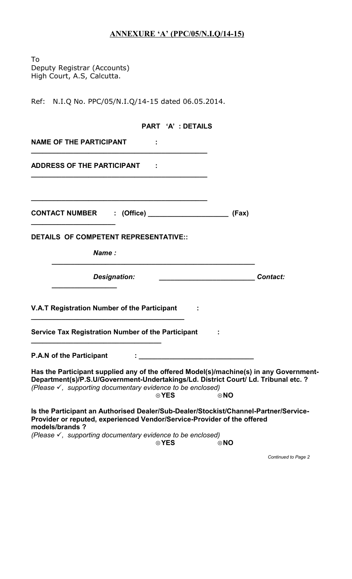# **ANNEXURE 'A' (PPC/05/N.I.Q/14-15)**

To Deputy Registrar (Accounts) High Court, A.S, Calcutta.

Ref: N.I.Q No. PPC/05/N.I.Q/14-15 dated 06.05.2014.

| PART 'A' : DETAILS                                                                                                                                                                                                                                               |       |                 |
|------------------------------------------------------------------------------------------------------------------------------------------------------------------------------------------------------------------------------------------------------------------|-------|-----------------|
| <b>NAME OF THE PARTICIPANT</b>                                                                                                                                                                                                                                   |       |                 |
| <b>ADDRESS OF THE PARTICIPANT :</b>                                                                                                                                                                                                                              |       |                 |
| CONTACT NUMBER : (Office) __________________                                                                                                                                                                                                                     | (Fax) |                 |
| DETAILS OF COMPETENT REPRESENTATIVE::<br>Name:                                                                                                                                                                                                                   |       |                 |
| <b>Designation:</b>                                                                                                                                                                                                                                              |       | <b>Contact:</b> |
| V.A.T Registration Number of the Participant :                                                                                                                                                                                                                   |       |                 |
| Service Tax Registration Number of the Participant :                                                                                                                                                                                                             |       |                 |
|                                                                                                                                                                                                                                                                  |       |                 |
| Has the Participant supplied any of the offered Model(s)/machine(s) in any Government-<br>Department(s)/P.S.U/Government-Undertakings/Ld. District Court/ Ld. Tribunal etc. ?<br>(Please $\checkmark$ , supporting documentary evidence to be enclosed)<br>⊚ YES | ⊚NO   |                 |
| Is the Participant an Authorised Dealer/Sub-Dealer/Stockist/Channel-Partner/Service-<br>Provider or reputed, experienced Vendor/Service-Provider of the offered<br>models/brands?                                                                                |       |                 |
| (Please $\checkmark$ , supporting documentary evidence to be enclosed)<br>⊚ YES                                                                                                                                                                                  | ⊚NO   |                 |

 *Continued to Page 2*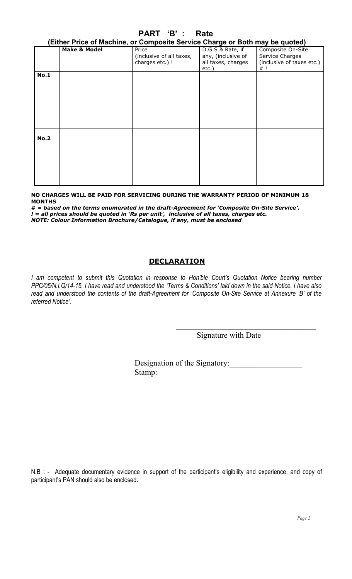# **PART 'B' : Rate**

|             | (Either Price of Machine, or Composite Service Charge or Both may be quoted) |                                                      |                                                                       |                                                                                     |  |  |
|-------------|------------------------------------------------------------------------------|------------------------------------------------------|-----------------------------------------------------------------------|-------------------------------------------------------------------------------------|--|--|
|             | <b>Make &amp; Model</b>                                                      | Price<br>(inclusive of all taxes,<br>charges etc.) ! | D.G.S & Rate, if<br>any, (inclusive of<br>all taxes, charges<br>etc.) | Composite On-Site<br>Service Charges<br>(inclusive of taxes etc.)<br># <sub>1</sub> |  |  |
| <b>No.1</b> |                                                                              |                                                      |                                                                       |                                                                                     |  |  |
| <b>No.2</b> |                                                                              |                                                      |                                                                       |                                                                                     |  |  |

**NO CHARGES WILL BE PAID FOR SERVICING DURING THE WARRANTY PERIOD OF MINIMUM 18 MONTHS**

**# =** *based on the terms enumerated in the draft-Agreement for 'Composite On-Site Service'. ! = all prices should be quoted in 'Rs per unit', inclusive of all taxes, charges etc. NOTE: Colour Information Brochure/Catalogue, if any, must be enclosed*

# **DECLARATION**

*I am competent to submit this Quotation in response to Hon'ble Court's Quotation Notice bearing number PPC/05/N.I.Q/14-15. I have read and understood the 'Terms & Conditions' laid down in the said Notice. I have also read and understood the contents of the draft-Agreement for 'Composite On-Site Service at Annexure 'B' of the referred Notice'.* 

Signature with Date

\_\_\_\_\_\_\_\_\_\_\_\_\_\_\_\_\_\_\_\_\_\_\_\_\_\_\_\_\_\_\_\_

Designation of the Signatory: Stamp:

N.B : - Adequate documentary evidence in support of the participant's eligibility and experience, and copy of participant's PAN should also be enclosed.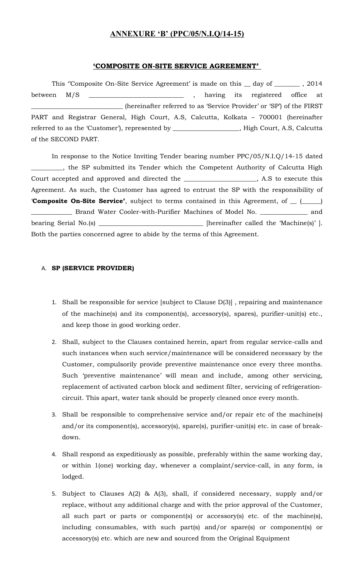# **ANNEXURE 'B' (PPC/05/N.I.Q/14-15)**

#### **'COMPOSITE ON-SITE SERVICE AGREEMENT'**

This "Composite On-Site Service Agreement' is made on this  $\_\,$  day of  $\_\,$ , 2014 between M/S \_\_\_\_\_\_\_\_\_\_\_\_\_\_\_\_\_\_\_\_\_\_\_\_\_\_\_\_\_\_ , having its registered office at \_\_\_\_\_\_\_\_\_\_\_\_\_\_\_\_\_\_\_\_\_\_\_\_\_\_\_\_\_ (hereinafter referred to as 'Service Provider' or 'SP') of the FIRST PART and Registrar General, High Court, A.S, Calcutta, Kolkata – 700001 (hereinafter referred to as the 'Customer'), represented by \_\_\_\_\_\_\_\_\_\_\_\_\_\_\_\_\_\_\_\_\_, High Court, A.S, Calcutta of the SECOND PART.

In response to the Notice Inviting Tender bearing number PPC/05/N.I.Q/14-15 dated \_\_\_\_\_\_\_\_\_\_, the SP submitted its Tender which the Competent Authority of Calcutta High Court accepted and approved and directed the \_\_\_\_\_\_\_\_\_\_\_\_\_\_\_\_\_\_\_\_\_\_\_, A.S to execute this Agreement. As such, the Customer has agreed to entrust the SP with the responsibility of '**Composite On-Site Service'**, subject to terms contained in this Agreement, of \_\_ (\_\_\_\_\_\_) \_\_\_\_\_\_\_\_\_\_\_\_\_ Brand Water Cooler-with-Purifier Machines of Model No. \_\_\_\_\_\_\_\_\_\_\_\_\_\_\_ and bearing Serial No.(s) \_\_\_\_\_\_\_\_\_\_\_\_\_\_\_\_\_\_\_\_\_\_\_\_\_\_\_\_\_\_\_\_\_ [hereinafter called the 'Machine(s)' ]. Both the parties concerned agree to abide by the terms of this Agreement.

#### A. **SP (SERVICE PROVIDER)**

- 1. Shall be responsible for service [subject to Clause D(3)] , repairing and maintenance of the machine(s) and its component(s), accessory(s), spares), purifier-unit(s) etc., and keep those in good working order.
- 2. Shall, subject to the Clauses contained herein, apart from regular service-calls and such instances when such service/maintenance will be considered necessary by the Customer, compulsorily provide preventive maintenance once every three months. Such 'preventive maintenance' will mean and include, among other servicing, replacement of activated carbon block and sediment filter, servicing of refrigerationcircuit. This apart, water tank should be properly cleaned once every month.
- 3. Shall be responsible to comprehensive service and/or repair etc of the machine(s) and/or its component(s), accessory(s), spare(s), purifier-unit(s) etc. in case of breakdown.
- 4. Shall respond as expeditiously as possible, preferably within the same working day, or within 1(one) working day, whenever a complaint/service-call, in any form, is lodged.
- 5. Subject to Clauses A(2) & A(3), shall, if considered necessary, supply and/or replace, without any additional charge and with the prior approval of the Customer, all such part or parts or component(s) or accessory(s) etc. of the machine(s), including consumables, with such part(s) and/or spare(s) or component(s) or accessory(s) etc. which are new and sourced from the Original Equipment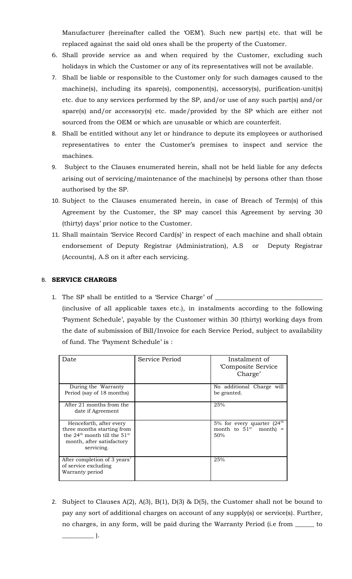Manufacturer (hereinafter called the 'OEM'). Such new part(s) etc. that will be replaced against the said old ones shall be the property of the Customer.

- 6. Shall provide service as and when required by the Customer, excluding such holidays in which the Customer or any of its representatives will not be available.
- 7. Shall be liable or responsible to the Customer only for such damages caused to the machine(s), including its spare(s), component(s), accessory(s), purification-unit(s) etc. due to any services performed by the SP, and/or use of any such part(s) and/or spare(s) and/or accessory(s) etc. made/provided by the SP which are either not sourced from the OEM or which are unusable or which are counterfeit.
- 8. Shall be entitled without any let or hindrance to depute its employees or authorised representatives to enter the Customer's premises to inspect and service the machines.
- 9. Subject to the Clauses enumerated herein, shall not be held liable for any defects arising out of servicing/maintenance of the machine(s) by persons other than those authorised by the SP.
- 10. Subject to the Clauses enumerated herein, in case of Breach of Term(s) of this Agreement by the Customer, the SP may cancel this Agreement by serving 30 (thirty) days' prior notice to the Customer.
- 11. Shall maintain 'Service Record Card(s)' in respect of each machine and shall obtain endorsement of Deputy Registrar (Administration), A.S or Deputy Registrar (Accounts), A.S on it after each servicing.

## B. **SERVICE CHARGES**

1. The SP shall be entitled to a 'Service Charge' of \_\_\_\_\_\_\_\_\_\_\_\_\_\_\_\_\_\_\_\_\_\_\_\_\_\_\_

(inclusive of all applicable taxes etc.), in instalments according to the following 'Payment Schedule', payable by the Customer within 30 (thirty) working days from the date of submission of Bill/Invoice for each Service Period, subject to availability of fund. The 'Payment Schedule' is :

| Date                                                                                                                                 | Service Period | Instalment of<br>'Composite Service<br>Charge'                     |
|--------------------------------------------------------------------------------------------------------------------------------------|----------------|--------------------------------------------------------------------|
| During the Warranty<br>Period (say of 18 months)                                                                                     |                | No additional Charge will<br>be granted.                           |
| After 21 months from the<br>date if Agreement                                                                                        |                | 25%                                                                |
| Henceforth, after every<br>three months starting from<br>the $24th$ month till the $51st$<br>month, after satisfactory<br>servicing. |                | 5% for every quarter $(24th$<br>month to $51^{st}$ month) =<br>50% |
| After completion of 3 years'<br>of service excluding<br>Warranty period                                                              |                | 25%                                                                |

2. Subject to Clauses  $A(2)$ ,  $A(3)$ ,  $B(1)$ ,  $D(3)$  &  $D(5)$ , the Customer shall not be bound to pay any sort of additional charges on account of any supply(s) or service(s). Further, no charges, in any form, will be paid during the Warranty Period (i.e from \_\_\_\_\_\_ to  $\qquad \qquad$  ).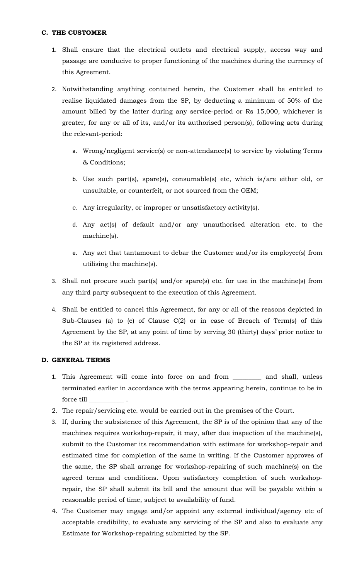### **C. THE CUSTOMER**

- 1. Shall ensure that the electrical outlets and electrical supply, access way and passage are conducive to proper functioning of the machines during the currency of this Agreement.
- 2. Notwithstanding anything contained herein, the Customer shall be entitled to realise liquidated damages from the SP, by deducting a minimum of 50% of the amount billed by the latter during any service-period or Rs 15,000, whichever is greater, for any or all of its, and/or its authorised person(s), following acts during the relevant-period:
	- a. Wrong/negligent service(s) or non-attendance(s) to service by violating Terms & Conditions;
	- b. Use such part(s), spare(s), consumable(s) etc, which is/are either old, or unsuitable, or counterfeit, or not sourced from the OEM;
	- c. Any irregularity, or improper or unsatisfactory activity(s).
	- d. Any act(s) of default and/or any unauthorised alteration etc. to the machine(s).
	- e. Any act that tantamount to debar the Customer and/or its employee(s) from utilising the machine(s).
- 3. Shall not procure such part(s) and/or spare(s) etc. for use in the machine(s) from any third party subsequent to the execution of this Agreement.
- 4. Shall be entitled to cancel this Agreement, for any or all of the reasons depicted in Sub-Clauses (a) to (e) of Clause C(2) or in case of Breach of Term(s) of this Agreement by the SP, at any point of time by serving 30 (thirty) days' prior notice to the SP at its registered address.

# **D. GENERAL TERMS**

- 1. This Agreement will come into force on and from \_\_\_\_\_\_\_\_\_ and shall, unless terminated earlier in accordance with the terms appearing herein, continue to be in force till
- 2. The repair/servicing etc. would be carried out in the premises of the Court.
- 3. If, during the subsistence of this Agreement, the SP is of the opinion that any of the machines requires workshop-repair, it may, after due inspection of the machine(s), submit to the Customer its recommendation with estimate for workshop-repair and estimated time for completion of the same in writing. If the Customer approves of the same, the SP shall arrange for workshop-repairing of such machine(s) on the agreed terms and conditions. Upon satisfactory completion of such workshoprepair, the SP shall submit its bill and the amount due will be payable within a reasonable period of time, subject to availability of fund.
- 4. The Customer may engage and/or appoint any external individual/agency etc of acceptable credibility, to evaluate any servicing of the SP and also to evaluate any Estimate for Workshop-repairing submitted by the SP.